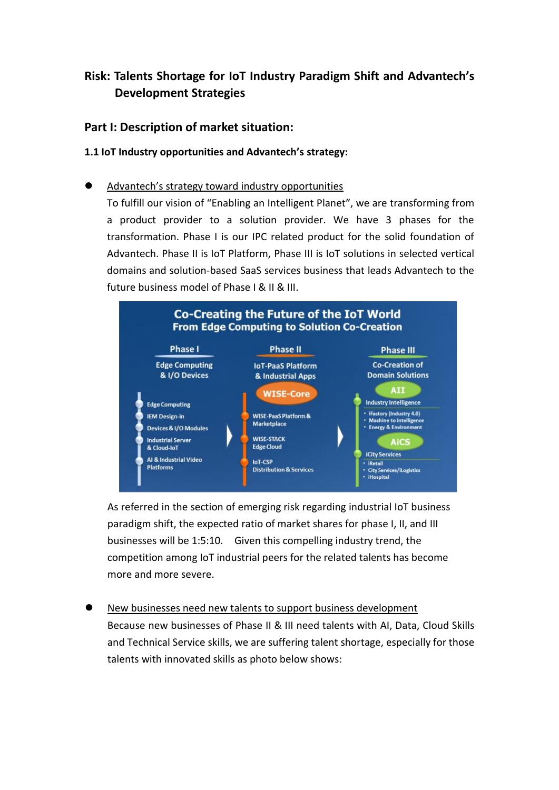# **Risk: Talents Shortage for IoT Industry Paradigm Shift and Advantech's Development Strategies**

### **Part I: Description of market situation:**

### **1.1 IoT Industry opportunities and Advantech's strategy:**

### Advantech's strategy toward industry opportunities

To fulfill our vision of "Enabling an Intelligent Planet", we are transforming from a product provider to a solution provider. We have 3 phases for the transformation. Phase I is our IPC related product for the solid foundation of Advantech. Phase II is IoT Platform, Phase III is IoT solutions in selected vertical domains and solution-based SaaS services business that leads Advantech to the future business model of Phase I & II & III.



As referred in the section of emerging risk regarding industrial IoT business paradigm shift, the expected ratio of market shares for phase I, II, and III businesses will be 1:5:10. Given this compelling industry trend, the competition among IoT industrial peers for the related talents has become more and more severe.

 New businesses need new talents to support business development Because new businesses of Phase II & III need talents with AI, Data, Cloud Skills and Technical Service skills, we are suffering talent shortage, especially for those talents with innovated skills as photo below shows: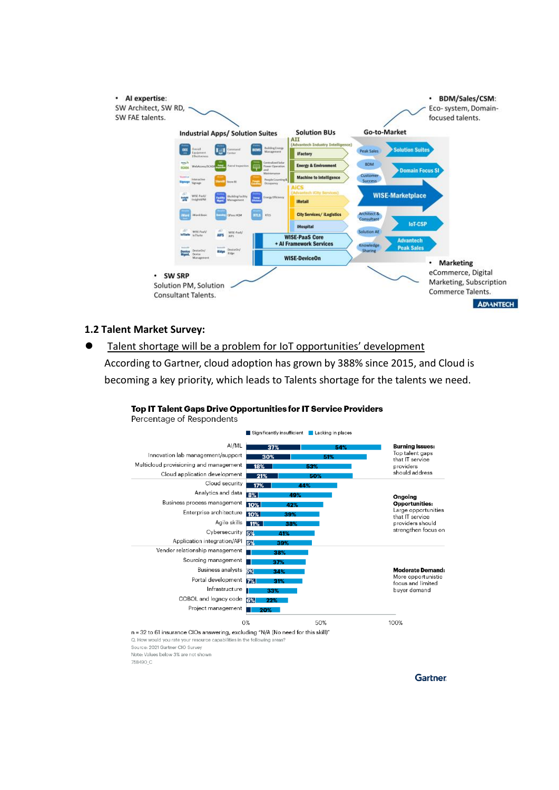

### **1.2 Talent Market Survey:**

758490 C

 Talent shortage will be a problem for IoT opportunities' development According to Gartner, cloud adoption has grown by 388% since 2015, and Cloud is becoming a key priority, which leads to Talents shortage for the talents we need.

#### Percentage of Respondents Significantly insufficient | Lacking in places AI/ML **Burning Issues:** Top talent gaps Innovation lab management/support  $30%$ that IT service Multicloud provisioning and management providers proviacio<br>should address Cloud application development Cloud security  $17%$ Analytics and data Ongoing<br>Opportunities: Business process management Large opportunities<br>that IT service Enterprise architecture 10% Agile skills 11% providers should<br>strengthen focus on Cybersecurity Application integration/API Vendor relationship management Sourcing management Business analysts **Moderate Demand:** More opportunistic Portal development focus and limited Infrastructure buyer demand COBOL and legacy code 8% Project management 100% 0% 50% n = 32 to 61 insurance CIOs answering, excluding "N/A (No need for this skill)" Q. How would you rate your resource capabilities in the follo wing areas Source: 2021 Gartner CIO Survey Note: Values below 3% are not shown

Top IT Talent Gaps Drive Opportunities for IT Service Providers

**Gartner**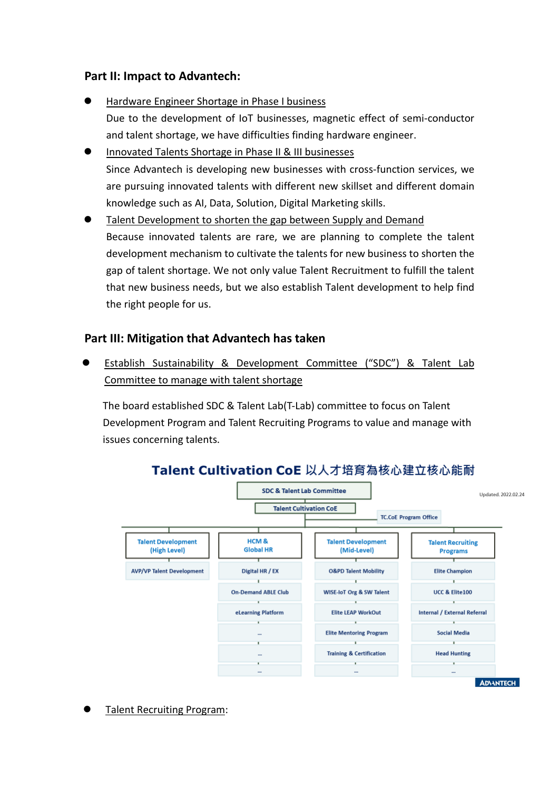## **Part II: Impact to Advantech:**

- Hardware Engineer Shortage in Phase I business Due to the development of IoT businesses, magnetic effect of semi-conductor and talent shortage, we have difficulties finding hardware engineer.
- Innovated Talents Shortage in Phase II & III businesses Since Advantech is developing new businesses with cross-function services, we are pursuing innovated talents with different new skillset and different domain knowledge such as AI, Data, Solution, Digital Marketing skills.
- **Talent Development to shorten the gap between Supply and Demand** Because innovated talents are rare, we are planning to complete the talent development mechanism to cultivate the talents for new business to shorten the gap of talent shortage. We not only value Talent Recruitment to fulfill the talent that new business needs, but we also establish Talent development to help find the right people for us.

## **Part III: Mitigation that Advantech has taken**

 Establish Sustainability & Development Committee ("SDC") & Talent Lab Committee to manage with talent shortage

The board established SDC & Talent Lab(T-Lab) committee to focus on Talent Development Program and Talent Recruiting Programs to value and manage with issues concerning talents.



# Talent Cultivation CoE 以人才培育為核心建立核心能耐

Talent Recruiting Program: